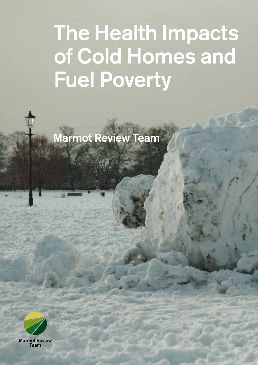# The Health Impacts of Cold Homes and Fuel Poverty

Marmot Review Team

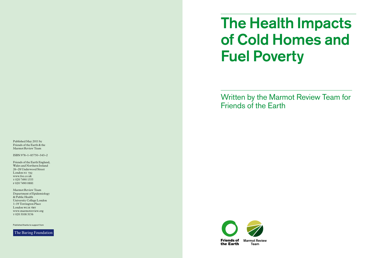# The Health Impacts of Cold Homes and Fuel Poverty

Written by the Marmot Review Team for Friends of the Earth



Published May 2011 by Friends of the Earth & the Marmot Review Team

ISBN 978–1–85750–343–2

Friends of the Earth England, Wales and Northern Ireland 26–28 Underwood Street London NI 7JQ www.foe.co.uk t 020 7490 1555 f 020 7490 0881

Marmot Review Team Department of Epidemiology & Public Health University College London 1–19 Torrington Place London WCIE 6BT www.marmotreview.org t 020 3108 3156

Published thanks to support from

The Baring Foundation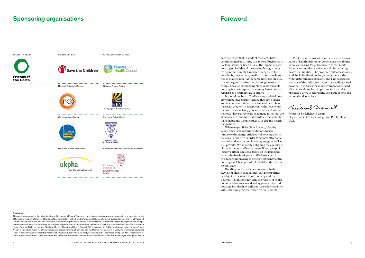I am delighted that Friends of the Earth have commissioned us to write this report. Fuel poverty is a long-standing health issue: the impact of cold housing on health and the stresses brought on by living in fuel poverty have been recognised for decades by researchers, medical professionals and policy makers alike. At the same time, it is an issue that often gets dismissed as the 'tough nature of things' because our housing stock is old and cold housing is so widespread that many have come to regard it as a normal state of affairs.

It should not be so. Cold housing and fuel poverty can be successfully tackled through policies and interventions if there is a will to do so. There is a social gradient in fuel poverty: the lower your income the more likely you are to be at risk of fuel poverty. I have always said that inequalities that are avoidable are fundamentally unfair - fuel poverty is avoidable and it contributes to social and health inequalities.

When we published Fair Society, Healthy Lives, one of our recommendations was to "improve the energy efficiency of housing across the social gradient" in order to achieve affordable warmth and a reduction in energy usage as well as fuel poverty. We advocated aligning the agendas of climate change and health inequalities by exploiting low carbon solutions, based on the principles of sustainable development. We do so again in this report: improving the energy efficiency of the housing stock brings multiple health and environmental gains.

Building on the evidence presented in the Review of Health Inequalities, this report brings new light to the issue of cold housing and fuel poverty; it highlights not only the variety of health outcomes that are caused and aggravated by cold housing, but also how children, the elderly and the vulnerable are greatly affected by fuel poverty.

Public health must address the social determinants of health: this report comes at a crucial time in policy making for public health as the White Paper is setting the new framework for reducing health inequalities. The proposed outcomes framework includes five domains, among these is the wider determinants of health, and I am so pleased that one of the indicators under this heading is fuel poverty – it initiates the momentum for a renewed effort to tackle such an important factor and it provides a drive to addressing this issue at both the national and local level.

Minhaul Mennant

Professor Sir Michael Marmot Department of Epidemiology and Public Health UCL

## **Sponsoring organisations Foreword Constructions Foreword Constructions Constructions Constructions Foreword Co**



#### Disclaimer

This publication contains the collective views of the Marmot Review Team and does not necessarily represent the decisions or the stated policy of Friends of the Earth, Chartered Institute of Environmental Health, Save the Children, National Children's Bureau, Climate and Health Council, Citizens Advice, UK Public Health Association, National Energy Action or Faculty of Public Health. The mention of specific organisations, companies or manufacturers' products does not imply that they endorsed or recommended by Friends of the Earth, Chartered Institute of Environmental Health, Save the Children, National Children's Bureau, Climate and Health Council, Citizens Advice, UK Public Health Association, National Energy Action or Faculty of Public Health. All reasonable precautions have been taken by the Marmot Review Team to verify the information contained in this report. However, the reported material is being distributed without warranty of any kind, either expressed or implied. The responsibility for the interpretation and use of the material lies with the reader. In no event shall the Marmot Review Team be liable for damages arising from its use.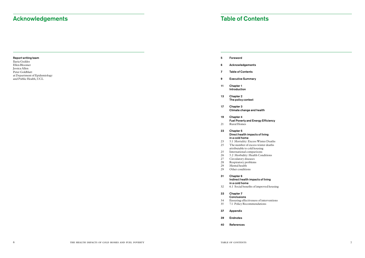- 5 Foreword
- 6 Acknowledgements
- 7 Table of Contents
- 9 Executive Summary
- 11 Chapter 1 Introduction
- 13 Chapter 2 The policy context
- 17 Chapter 3 Climate change and health
- 19 Chapter 4
	- Fuel Poverty and Energy Efficiency
- 21 Rural Homes
- 23 Chapter 5 Direct health impacts of living in a cold home
	-
- 23 5.1 Mortality: Excess Winter Deaths<br>25 The number of excess winter deaths The number of excess winter deaths
	- attributable to cold housing
- 25 International comparisons
- 26 5.2 Morbidity: Health Conditions<br>27 Circulatory diseases
- Circulatory diseases
- 28 Respiratory problems<br>29 Mental health
- 29 Mental health<br>29 Other condition
- Other conditions

Report writing team Ilaria Geddes Ellen Bloomer Jessica Allen Peter Goldblatt at Department of Epidemiology and Public Health, UCL

## Acknowledgements

- **Conclusions**
- 34 Ensuring effectiveness of interventions<br>35 7.1 Policy Recommendations 7.1 Policy Recommendations
- 
- 37 Appendix
- 39 Endnotes
- 40 References

## 31 Chapter 6

#### Indirect health impacts of living in a cold home

32 6.1 Social benefits of improved housing

## 33 Chapter 7

## Table of Contents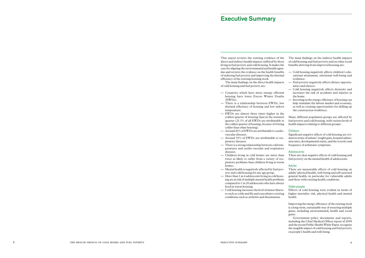This report reviews the existing evidence of the direct and indirect health impacts suffered by those living in fuel poverty and cold housing. It makes the case for aligning the environmental and health agendas and reviews the evidence on the health benefits of reducing fuel poverty and improving the thermal efficiency of the existing housing stock.

The main findings on the direct health impacts of cold housing and fuel poverty are:

- Countries which have more energy efficient housing have lower Excess Winter Deaths (EWDs).
- There is a relationship between EWDs, low thermal efficiency of housing and low indoor temperature.
- EWDs are almost three times higher in the coldest quarter of housing than in the warmest quarter (21.5% of all EWDs are attributable to the coldest quarter of housing, because of it being colder than other housing).
- Around 40% of EWDs are attributable to cardiovascular diseases.
- Around 33% of EWDs are attributable to respiratory diseases.
- There is a strong relationship between cold temperatures and cardio-vascular and respiratory diseases.
- Children living in cold homes are more than twice as likely to suffer from a variety of respiratory problems than children living in warm homes.
- Mental health is negatively affected by fuel poverty and cold housing for any age group.
- More than 1 in 4 adolescents living in cold housing are at risk of multiple mental health problems compared to 1 in 20 adolescents who have always lived in warm housing.
- Cold housing increases the level of minor illnesses such as colds and flu and exacerbates existing conditions such as arthritis and rheumatism.

The main findings on the indirect health impacts of cold housing and fuel poverty and on other social benefits deriving from improved housing are:

- Cold housing negatively affects children's educational attainment, emotional well-being and resilience.
- Fuel poverty negatively affects dietary opportunities and choices.
- Cold housing negatively affects dexterity and increases the risk of accidents and injuries in the home.
- Investing in the energy efficiency of housing can help stimulate the labour market and economy, as well as creating opportunities for skilling up the construction workforce.

Many different population groups are affected by fuel poverty and cold housing, with various levels of health impacts relating to different groups:

## Children

Significant negative effects of cold housing are evident in terms of infants' weight gain, hospital admission rates, developmental status, and the severity and frequency of asthmatic symptoms.

### **Adolescents**

There are clear negative effects of cold housing and fuel poverty on the mental health of adolescents.

#### Adults

There are measurable effects of cold housing on adults' physical health, well-being and self-assessed general health, in particular for vulnerable adults and those with existing health conditions.

### Older people

Effects of cold housing were evident in terms of higher mortality risk, physical health and mental health.

Improving the energy efficiency of the existing stock is a long-term, sustainable way of ensuring multiple gains, including environmental, health and social gains.

Government policy documents and reports, including the Chief Medical Officer report of 2009 and the recent Public Health White Paper, recognise the tangible impact of cold housing and fuel poverty on people's health and well-being.

## Executive Summary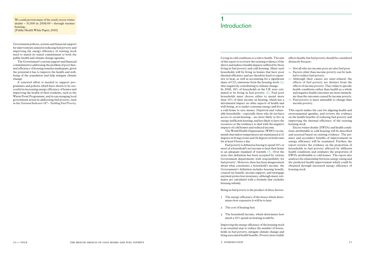Government policies, actions and financial support for interventions aimed at reducing fuel poverty and improving the energy efficiency of existing stock need to match its stated commitment to both the public health and climate change agendas.

The Government's current support and financial commitment to addressing the problem of poor thermal efficiency of housing remains inadequate, given the potential it has to improve the health and wellbeing of the population and help mitigate climate change.

A renewed effort is needed to support programmes and policies which have shown to be successful in increasing energy efficiency of homes and improving the health of their residents, such as the Warm Front Programme, and in encouraging local government action in addressing fuel poverty, such as the *National Indicator 187 – Tackling Fuel Poverty*.

Living in cold conditions is a risk to health. The aim of this report is to review the existing evidence of the direct and indirect health impacts suffered by those living in fuel poverty and cold housing. Many such households will be living in homes that have poor thermal efficiency and are therefore hard or expensive to heat, as well as accounting for a significant share of  $CO_2$  emissions from the housing stock (1), thus negatively contributing to climate change. In 2008, 18% of households in the UK were estimated to be living in fuel poverty (2). Fuel poor households must choose either to spend more than 10% of their income on heating, which has a detrimental impact on other aspects of health and well-being, or to under-consume energy and live in a cold home to save money. Deprived and vulnerable households – especially those who do not have access to social housing - are more likely to live in energy inefficient housing, and less likely to have the resources or the resilience to deal with the negative impacts of cold homes and reduced income.

The World Health Organisation (WHO) recommends that indoor temperatures are maintained at 21 degrees in living rooms and 18 degrees in bedrooms for at least 9 hours a day.

## 1 **Introduction**

We could prevent many of the yearly excess winter deaths  $-35,000$  in  $2008/09$  – through warmer housing... [Public Health White Paper, 2010]

> Fuel poverty is defined as having to spend 10% or more of a household's net income to heat their home to an adequate standard of warmth (3). Over the years this definition has been accepted by various Government departments with responsibility for fuel poverty<sup>1</sup>. However, there has been disagreement about what constitutes a household's income: the Government's definition includes housing benefit, council tax benefit, income support, and mortgage payment protection insurance, although many estimates are calculated with a formula that excludes housing subsidy.

Being in fuel poverty is the product of three factors:

- 1 The energy efficiency of the house which determines how expensive it will be to heat.
- 2 The cost of heating fuel.
- 3 The household income, which determines how much a 10% spend on heating would be.

Improving the energy efficiency of the housing stock is an essential step to reduce the number of households in fuel poverty, mitigate climate change and bring associated health benefits. Poverty more widely

affects health, but fuel poverty should be considered distinctly because:

- Not all who are income poor are also fuel poor.
- Factors other than income poverty can be tackled to reduce fuel poverty.
- Although their causes are inter-related, the effects of fuel poverty are distinct from the effects of income poverty. They relate to specific health conditions rather than health as a whole and negative health outcomes are more immediate than the outcomes caused by income poverty.
- Fuel poverty is more amenable to change than income poverty.

This report makes the case for aligning health and environmental agendas, and reviews the evidence on the health benefits of reducing fuel poverty and improving the thermal efficiency of the existing housing stock.

Excess winter deaths (EWDs) and health conditions attributable to cold housing will be described and assessed based on existing evidence. The primary and secondary benefits of improvements in energy efficiency will be examined. Further, the report reviews the evidence on the proportion of households in fuel poverty affected by different health conditions and estimates the proportion of EWDs attributable to cold homes. The report also analyses the relationship between energy rating and the predicted health improvement which could be obtained through increased energy efficiency of housing stock.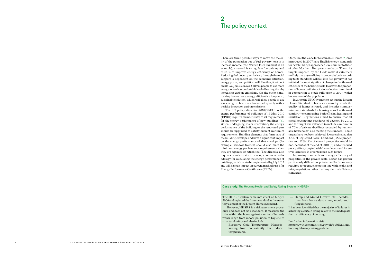There are three possible ways to move the majority of the population out of fuel poverty: one is to increase income (the Winter Fuel Payment is an example), a second is to regulate fuel pricing and third is to improve energy efficiency of homes. Reducing fuel poverty exclusively through financial support is dependent on the economic situation, energy prices, and political will. Further, it will not tackle  $\mathrm{CO}_2$  emissions as it allows people to use more energy to reach a comfortable level of heating thereby increasing carbon emissions. On the other hand, making homes more energy efficient is a long-term, sustainable solution, which will allow people to use less energy to heat their homes adequately with a positive impact on carbon emissions.

The EU policy directive 2010/31/EU on the energy performance of buildings of 19 May 2010 (EPBD) requires member states to set requirements for the energy performance of new buildings (4). When undergoing major renovation, the energy performance of the building or the renovated part should be upgraded to satisfy current minimum requirements. Building elements that form part of the building envelope and have a significant impact on the energy performance of that envelope (for example, window frames) should also meet the minimum energy performance requirements when they are replaced or retrofitted. The directive also requires member states to develop a common methodology for calculating the energy performance of buildings, which has to be implemented by July 2013 and will have an impact on current methods used for Energy Performance Certificates (EPCs).

However, HHSRS is a risk assessment dure and does not set a standard. It measures risks within the home against a series of h which range from indoor pollution to hygi structural safety and also include:

— Excessive Cold Temperature: Haz arising from consistently low in temperatures.

Only since the Code for Sustainable Homes (5) was introduced in 2007 have English energy standards for new buildings approached levels similar to those of other Northern European standards. The strict targets imposed by the Code make it extremely unlikely that anyone living in properties built according to its standards will fall into fuel poverty: it has initiated the most significant change in the thermal efficiency of the housing stock. However, the proportion of homes built since its introduction is minimal in comparison to stock built prior to 2007, which houses most of the population.

In 2000 the UK Government set out the Decent Homes Standard. This is a measure by which the quality of homes is rated, and includes statutory minimum standards for housing as well as thermal comfort – encompassing both efficient heating and insulation. Regulations aimed to ensure that all social housing met standards of decency by 2010, and the target was extended to include a minimum of 70% of private dwellings occupied by vulnerable households<sup>2</sup> also meeting the standard. These targets have not been achieved: it was estimated that 3.8% of Registered Social Landlord (RSL) properties and 12%-14% of council properties would be non-decent as of the end of 2010 (6) and a renewed policy effort, coupled with better levers and incentives is needed in order to reach such targets.

Improving standards and energy efficiency of properties in the private rental sector has proven particularly difficult as private landlords are only required to upgrade homes in line with health and safety regulations rather than any thermal efficiency standards.

# 2 The policy context

| 5 April  | - Damp and Mould Growth etc: Includes                   |
|----------|---------------------------------------------------------|
| e statu- | risks from house dust mites, mould and                  |
| d.       | fungal spores.                                          |
| proce-   | It has been identified that the majority of failures in |
| res the  | achieving a certain rating relate to the inadequate     |
| azards   | thermal efficiency of housing.                          |
| iene to  |                                                         |
|          | For further information visit:                          |
| zards    | http://www.communities.gov.uk/publications/             |
| ıdoor    | housing/hhsrsoperatingguidance                          |
|          |                                                         |

## Case study: The Housing Health and Safety Rating System (HHSRS)

The HHSRS system came into effect on  $2006$  and replaced the fitness standard as the tory element of the Decent Homes Standard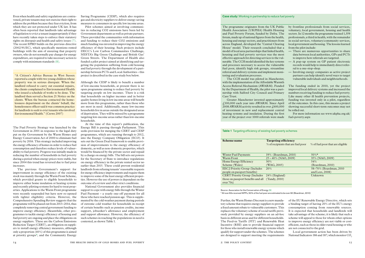Further, the Warm Homes Discount is a new mandatory scheme that requires energy suppliers to provide a fixed amount rebate to vulnerable customers. This replaces the voluntary scheme of social tariffs previously provided by energy suppliers on an ad-hoc basis in different areas and for different households. The Feed-in Tariffs (FIT) and Renewable Heat Incentive (RHI) aim to provide financial support for those who install renewable energy systems which qualify for support under the schemes. The schemes are designed to support meeting the requirements

Local government action has been driven by National Indicators 186 and 187, which monitor CO<sub>2</sub>

of the EU Renewable Energy Directive, which sets a binding target of having 20% of the EU's energy consumption coming from renewable sources. It is expected that households and landlords will take advantage of the scheme; it is likely that such a scheme will appeal to those for whom other options to improve energy efficiency are not viable or costefficient, such as those in older rural housing or who are not connected to the grid.

The previous Government's support for improvement in energy efficiency of the existing stock was mainly through the Warm Front Scheme, which provided grants to eligible households to improve either home insulation or heating systems and recently piloting systems for hard to treat properties. Applications to the Warm Front programme were recently suspended but have now re-opened with tighter eligibility criteria. However, the Comprehensive Spending Review suggests that the programme will be phased out from 2013–2014, thus completely removing central government funding to improve energy efficiency. Meanwhile, other programmes to tackle energy efficiency of housing and fuel poverty are ongoing and place the obligations on energy suppliers. These are the Carbon Emissions Reduction Target (CERT), an obligation on suppliers to install energy efficiency measures, although only a proportion (40%) of this programme is aimed at priority groups<sup>3</sup>, and the Community Energy

Even when health and safety regulations are contravened, private tenants may not exercise their right to address the problem because they fear eviction, from which they are not protected under UK law. It has often been reported that landlords take advantage of legislation to evict a tenant inappropriately if they have recently taken steps to enforce their statutory rights on disrepair and health and safety issues (7). The recent EPBD builds on the previous directive (2002/91/EC), which specifically mentions rented buildings with the aim of ensuring that property owners, who do not normally pay charges for energy expenditure, are required to take necessary action to comply with minimum standards (8).

The Fuel Poverty Strategy was launched by the Government in 2001 in response to the legal duty put on the Government by the Warm Homes and Energy Conservation Act of 2000 to eliminate fuel poverty by 2016. This strategy included improving the energy efficiency of homes in order to reduce fuel consumption and therefore reduce levels of vulnerability to fuel poverty. Progress was initially made in reducing the number of households in fuel poverty during a period when energy prices were stable, but since 2004 this trend has reversed due to fuel price increases.

Saving Programme (CESP), which also requires gas and electricity suppliers to deliver energy saving measures to consumers in specific low income areas.

The programme originates from the UK Health Association (UKPHA) Health House and Fuel Poverty Forum, funded by Defra. forum, made up of national figures from the  $\mathbf b$ housing and energy sectors, and practitioner across England, developed the 'Central Cl House' model. Their research concluded model of local area partnerships that linked housing and fuel poverty services was the effective approach for directing services to the nerable. The CCH model identified the key systems and processes necessary to access the vuln fuel poor, identify high risk groups, streamline referral and delivery systems and implement toring and evaluation processes.

The CCH model was piloted in Manc with the implementation of the Affordable W Access Referral Mechanism (AWARM). F by the Department of Health, the pilot was nership with Salford City Council and Pi Care Trust.

Pilot schemes aimed at involving communities in reducing CO2 emissions have been led by Government departments as well as private partners. These provided the communities with information and funding to reduce their CO2 emissions and much funding was invested in improving the energy efficiency of their housing. Such projects include DECC's Low Carbon Communities Challenge, NESTA's Big Green Challenge and British Gas' Green Streets. The Department of Health also funded a pilot project aimed at identifying and targeting the population suffering from cold housing and fuel poverty through the development of a partnership between PCTs and Local Authorities – this project is described in the case study box below.

Although the CESP is likely to benefit a number of low-income households, at present there is no open programme aiming to reduce fuel poverty by targeting people on low incomes. There is a risk that households on higher incomes and in better quality homes living in low income areas will benefit more from this programme, rather than those who are most in need. Additionally, many low-income households live in areas outside the designated areas of deprivation. They will be missed by a programme targeting low-income areas rather than low-income households.

Greater Manchester invested approxi  $£100,000$  each year into AWARM. Since 2008 AWARM activity resulted in over  $f60$ of investment in new and replacement heating systems and insulation. During the first year of the project over 1000 referrals were made fuel-poverty.aspx

#### Table 1 Targeting efficiency of existing fuel poverty schemes

At the time of this report's publication, the Energy Bill is passing through Parliament. This seeks provision for merging the CERT and CESP programmes, which are running through to 2012, into the Energy Company Obligation (ECO). It sets out the Green Deal framework to enable provision of improvements to the energy efficiency of domestic, as well as non-domestic properties, which would be financed by the private sector and repaid by a charge on energy bills. The bill sets out powers for the Secretary of State to introduce regulations on energy efficiency in the private rented sector no earlier than 2015. These could prevent residential landlords from refusing tenants' reasonable requests for energy efficiency improvements and require them to improve some of the least energy efficient properties. However the use of powers is dependent on the outcome of a review and other strict conditions.

National Government also provides financial support to cope with energy bills through the Winter Fuel Payment – a yearly one-off payment for all those who have reached pension age. This is supplemented by the cold weather payment during periods of extreme cold weather for households in receipt of certain benefits such as pension credits, income support, jobseeker's allowance and employment and support allowance. However, the efficiency of such schemes in reaching the populations in need is contested, as shown Table 1.

"A Citizen's Advice Bureau in West Sussex reported a couple with two young children whose property was in serious disrepair. When the landlord refused to carry out essential repairs, the clients complained to Environmental Health who issued a schedule of works to be done. The landlord then served a Section 21 Notice on the clients. When the bureau contacted the homelessness department on the clients' behalf, the homelessness officer said it was common practice for landlords to seek to evict tenants who involved Environmental Health." (Crewe 2007)

| Public       | by frontline professionals from social services,     |
|--------------|------------------------------------------------------|
| ousing       | voluntary, local government, housing and health      |
| a. The       | sectors. In 12 months the programme trained 1,359    |
| health,      | professionals, a third in health, with the remainder |
| rs from      | in social services, voluntary/community services,    |
| learing      | local government and housing. The lessons learned    |
| that a       | from the pilot include:                              |
| health,      | There are numerous opportunities to share            |
| e most       | data between local authorities, GPs and PCTs         |
| he vul-      | to improve how referrals are targeted.               |
| ystems       | A pop-up system on GP patient electronic             |
| ıerable      | records would help to immediately direct refer-      |
| amline       | ral to a one-stop-shop.                              |
| t moni-      | Involving energy companies as active project         |
|              | partners can help identify novel ways to target      |
| hester,      | vulnerable individuals and neighbourhoods.           |
| 7armth       |                                                      |
| 'unded       | The funding ended in 2010, yet the project           |
| a part-      | improved local delivery systems and increased the    |
| rimary       | numbers receiving funding to reduce fuel poverty.    |
|              | Like many other ill health prevention projects,      |
| mately       | funding was invested only in a pilot, regardless     |
| e April      | of the outcomes. In this case, this means a project  |
| 000,000      | showing successful short-term outcomes may not       |
| central      | be rolled out.                                       |
| he first     | For more information see www.ukpha.org.uk/           |
| املاء محمداه |                                                      |

Case study: Working in partnership to reduce fuel poverty

| Scheme name                          | <b>Targeting efficiency</b><br>% of recipients that are fuel poor | % of fuel poor that are eligible |
|--------------------------------------|-------------------------------------------------------------------|----------------------------------|
| <b>Winter Fuel Payments</b>          | 19% (Boardman, 2010)                                              | $50\%$ *                         |
| Warm Front                           | $25 - 40\%$ (NAO, 2009)                                           | 35% (NAO, 2009)                  |
| Home Energy Efficiency               | 30%                                                               | 54%                              |
| Scheme (Wales)                       | (WAG, 2005)                                                       | (Boardman, 2010)                 |
| <b>EEC2 Priority Group (Includes</b> | 20%                                                               | 58-70% (Boardman, 2010)          |
| people on passport benefits)         |                                                                   | and Lees, 2008)                  |
| <b>CERT Priority Group (Includes</b> | $24\%$ (England)                                                  | Unknown                          |
| those on passport benefits and all   | (Tandv, 2010)                                                     |                                  |
| over 70s                             |                                                                   |                                  |

Source: Association for the Conservation of Energy (9) \* All over 60s received WFPs, 50% of the fuel poor are estimated to be over 60 (Boardman, 2010)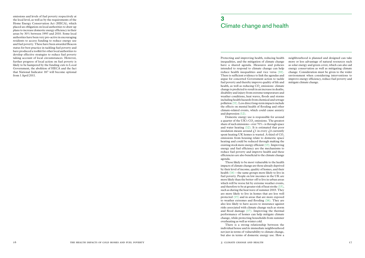emissions and levels of fuel poverty respectively at the local level, as well as by the requirements of the Home Energy Conservation Act (HECA), which placed an obligation on local authorities to draw up plans to increase domestic energy efficiency in their areas by 30% between 1995 and 2010. Some local authorities have been very pro-active in encouraging residents to access funding to reduce energy use and fuel poverty. These have been awarded Beacon status for best practice in tackling fuel poverty and have produced a toolkit for other local authorities to develop effective strategies to reduce fuel poverty taking account of local circumstances. However, further progress of local action on fuel poverty is likely to be hampered by the funding cuts to Local Government, the abolition of HECA and the fact that National Indicator 187 will become optional from 1 April 2011.

# 3 Climate change and health

Protecting and improving health, reducing health inequalities, and the mitigation of climate change have a shared agenda. Measures and policies intended to respond to climate change can help reduce health inequalities and vice versa (10). There is sufficient evidence to link the agendas and argue for concerted Government action to tackle fuel poverty and thereby improve quality of life and health, as well as reducing  $CO_2$  emissions: climate change is predicted to result in an increase in deaths, disability and injury from extreme temperature and weather conditions, heat waves, floods and storms including health hazards from chemical and sewage pollution (11). Less direct long-term impacts include the effects on mental health of flooding and other climate-related events, which could cause anxiety and depression (12).

Domestic energy use is responsible for around a quarter of the UK's  $CO<sub>2</sub>$  emissions. The greatest share of such emissions – over  $70\%$  - is through space and water heating (12). It is estimated that poor insulation means around  $\mathcal{L}$ 1 in every  $\mathcal{L}$ 4 currently spent heating UK homes is wasted. A third of CO<sub>2</sub> emissions from housing relate to domestic space heating and could be reduced through making the existing stock more energy efficient (13). Improving energy and fuel efficiency are the mechanisms to reduce fuel poverty and improve health and these efficiencies are also beneficial to the climate change agenda.

Those likely to be most vulnerable to the health impacts of climate change are those already deprived by their level of income, quality of homes, and their health (14) – the same groups more likely to live in fuel poverty. People on low incomes in the UK are more likely than the better-off to live in urban areas which will be worse hit by extreme weather events, and therefore to be at greater risk of heat stroke (15), such as during the heat wave of summer 2003. They are more likely to live in homes that are less well protected (15) and in areas that are more exposed to weather extremes and flooding (16). They are also less likely to have access to insurance against risks associated with climate change such as storm and flood damage (17). Improving the thermal performance of homes can help mitigate climate change, while protecting households from summer overheating as well as winter cold.

There is a strong relationship between the individual house and its immediate neighbourhood not just in terms of vulnerability to climate change, but also in terms of domestic energy use. How a

neighbourhood is planned and designed can take more or less advantage of natural resources such as solar energy and green cover, which can also aid energy conservation as well as mitigating climate change. Consideration must be given to the wider environment when considering interventions to improve energy efficiency, reduce fuel poverty and mitigate climate change.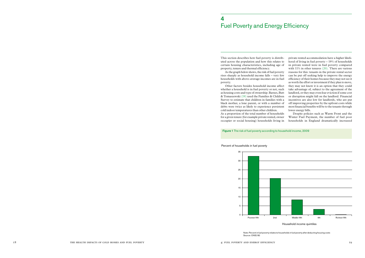Household income quintiles

#### Percent of households in fuel poverty

This section describes how fuel poverty is distributed across the population and how this relates to certain housing characteristics, including age of property, tenure and thermal efficiency.

As the graph below shows, the risk of fuel poverty rises sharply as household income falls – very few households with above-average incomes are in fuel poverty.

Other factors besides household income affect whether a household is in fuel poverty or not, such as housing costs and type of ownership. Barnes, Butt & Tomaszewski (19) used the Families & Children Survey to estimate that children in families with a black mother, a lone parent, or with a number of debts were twice as likely to experience persistent cold indoor temperatures than other children. As a proportion of the total number of households for a given tenure (for example private rented, owner



private rented accommodation have a higher likelihood of living in fuel poverty – 19% of households in private rented were in fuel poverty compared with 11% in other tenures (20). There are various reasons for this: tenants in the private rental sector can be put off seeking help to improve the energy efficiency of their homes because they may not see it as worth the effort or investment if they plan to move, they may not know it is an option that they could take advantage of, subject to the agreement of the landlord, or they may even fear eviction if some cost or disruption might fall on the landlord. Financial incentives are also low for landlords, who are put off improving properties by the upfront costs while most financial benefits will be to the tenants through lower energy bills.

occupier or social housing) households living in households in England dramatically increased Despite policies such as Warm Front and the Winter Fuel Payment, the number of fuel poor

# 4 Fuel Poverty and Energy Efficiency

Note: Percent in fuel poverty relates to households in fuel poverty after deducting housing costs

Source: ONS(18)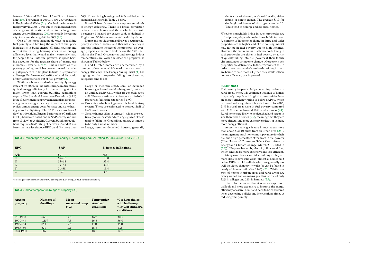electric or oil-heated, with solid walls, either double or single glazed. The average SAP for single glazed homes of this type is under 20. These tend to be large and old rural homes.

Whether households living in such properties are in fuel poverty depends on the household's income. A number of households living in large and older properties at the higher end of the housing market may not be in fuel poverty due to high incomes. However, the fact remains that households living in such properties are either in fuel poverty or at risk of quickly falling into fuel poverty if their family circumstances or income change. Moreover, such properties are detrimental to the environment as – in order to keep warm - the households residing in them are bound to emit more CO<sub>2</sub> than they would if their home's efficiency was improved.

#### Rural Homes

Fuel poverty is a particularly concerning problem in rural areas, where it is estimated that half of homes in sparsely populated English communities have an energy efficiency rating of below SAP30, which is considered a significant health hazard. In 2006, 21% in rural areas were in fuel poverty compared with 11% in suburban and 10% in urban areas (24). Rural homes are likely to be detached and larger in size than urban homes (25), meaning that they are more difficult and more expensive to heat, or to make more energy efficient.

Access to mains gas is rare in most areas more than about 5 or 10 miles from an urban area (25) , meaning many rural homes must pay more for their fuel and a high percentage of them are in fuel poverty (The House of Commons Select Committee on Energy and Climate Change, March 2010, cited in (26)). They are heated by electric, oil or solid fuel, which tends to be more expensive and less efficient.

Many rural homes are older buildings. They are more likely to have solid walls (almost all homes built before 1919 are solid walled), which are generally less well-insulated than cavity walls (as can be found in nearly all homes built after 1945) (25). While over 60% of homes in urban areas and rural towns are cavity walled and on mains gas, this is true of only 32% in villages and 21% in hamlets (25) .

These factors mean that it is on average more difficult and more expensive to improve the energy efficiency of a rural home and need to be considered when developing policies and interventions aimed at reducing fuel poverty.

between 2004 and 2010 from 1.2 million to 4.6 mil lion (20). The winter of 2009/10 saw 25,400 deaths in England and Wales (21). Much of the increase in fuel poverty in 2008/9 was due to the increased costs of energy and it is estimated that in the long term, energy costs will increase (20), potentially increasing a typical annual energy bill by 50% (20) .

One of the most sustainable ways of tackling fuel poverty and limiting the impact of fuel price increases is to build energy efficient housing and retrofit the existing housing stock to an energy efficiency level that would make it extremely hard for people to fall into fuel poverty, as space heat ing accounts for the greatest share of energy use in homes – over 50%  $(12)$ . This is known as 'fuel poverty proofing' and it has been estimated that rais ing all properties in England to SAP 81 (equivalent to Energy Performance Certificate band B) would lift 83% of households out of fuel poverty (22).

While new homes need to become highly energy efficient by 2020, in line with European directives, typical energy efficiency for the existing stock is much lower than current building regulations require. The Standard Assessment Procedure (SAP) is the Government's approved mechanism for meas uring home energy efficiency: it calculates a home's typical annual energy costs for space and water heat ing as well as lighting. The SAP scale runs from 1 (low) to 100 (high). Energy Performance Certificate (EPC) bands are based on the SAP scores, and run from G (low) to A (high). Current building regula tions require a SAP rating of between 65 and 81 as a base-line, ie. a level above EPC band D – more than

50% of the existing housing stock falls well below this standard, as shown in Table 2 below.

F and G band homes have very low standards of energy efficiency. There is a broad correlation between these homes and those which constitute a category 1 hazard for excess cold, as defined in English and Welsh environmental health legislation.

Damp and mould are more likely to occur in cold, poorly insulated homes, and thermal efficiency is strongly linked to the age of the property: on aver age properties that were built before the 1920s fall within the F and G categories and average indoor temperatures are lower the older the property, as shown in Table 3 below.

F and G rated homes are characterised by a number of elements which mark them as poor in energy efficiency. The Energy Saving Trust (1) has highlighted that properties falling into these two categories tend to be:

- Large or medium sized, semi or detached houses, gas heated and double-glazed, but with an unfilled cavity wall, which are generally rated as F. These are estimated to be about a third of all properties falling in categories F or G.
- Properties which lack gas- or oil- fired heating system. These are estimated to be about half of F–G rated homes.
- Smaller homes (flats or terraces), which are elec trically or oil-heated and are single glazed. These tend to fall in the G banding, but are estimated to be only a small number.
- Large, semi or detached houses, generally

| <b>EPC</b>              | <b>SAP</b> | % homes in England |
|-------------------------|------------|--------------------|
| A/B                     | $81+$      | 0.3                |
| $\mathcal{C}$           | $69 - 80$  | 10.0               |
| $\mathbf{D}$            | $55 - 68$  | 35.4               |
| $\overline{\mathrm{E}}$ | $39 - 54$  | 37.4               |
| $\overline{\mathrm{F}}$ | $21 - 38$  | 13.4               |
| G                       | $1 - 20$   | 3.5                |

| Ages of<br>property | Number of<br>dwellings | Mean<br>measured temp<br>$(^{\circ}C)$ | Temp under<br>standard<br>conditions | % of households<br>with hall temp<br>$\leq 16^{\circ}$ C at standard<br>conditions |
|---------------------|------------------------|----------------------------------------|--------------------------------------|------------------------------------------------------------------------------------|
| Pre 1900            | 660                    | 17.3                                   | 16.7                                 | 38.8                                                                               |
| $1900 - 44$         | 1,157                  | 17.5                                   | 16.8                                 | 36.0                                                                               |
| $1945 - 64$         | 853                    | 17.6                                   | 17.0                                 | 35.8                                                                               |
| $1965 - 80$         | 621                    | 19.1                                   | 18.4                                 | 17.6                                                                               |
| Post 1980           | 116                    | 19.5                                   | 18.7                                 | 14.7                                                                               |
|                     |                        |                                        |                                      |                                                                                    |

Table 2 Percentage of homes in England by EPC banding and SAP rating, 2008. Source: EST 2010 (1)

Percentage of homes in England by EPC banding and SAP rating, 2008. Source: EST 2010(1)

#### Table 3 Indoor temperature by age of property (23)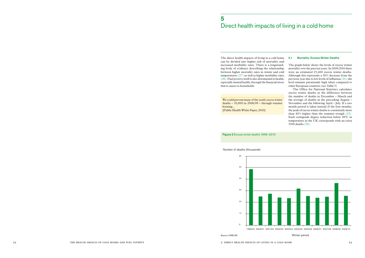The direct health impacts of living in a cold home can be divided into higher risk of mortality and increased morbidity rates. There is a longstanding body of evidence describing the relationship between higher mortality rates in winter and cold temperatures (27) as well as higher morbidity rates (28). Fuel poverty itself is also detrimental to health, especially mental health, through the financial stress that it causes to households.

#### 5.1 Mortality: Excess Winter Deaths

The graph below shows the levels of excess winter mortality over the past ten years. In 2009/2010 there were an estimated 25,400 excess winter deaths. Although this represents a 30% decrease from the previous year due to low levels of influenza (21), the level remains persistently high when compared to other European countries (see Table 5)

The Office for National Statistics calculates excess winter deaths as the difference between the number of deaths in December – March and the average of deaths in the preceding August – November and the following April – July. If a two month period is taken instead of the four months, the peak of excess winter deaths is consistently more than 40% higher than the summer trough (23). Each centigrade degree reduction below 18°C in temperature in the UK corresponds with an extra 3500 deaths (29).

# 5 Direct health impacts of living in a cold home

We could prevent many of the yearly excess winter deaths – 35,000 in 2008/09 – through warmer housing... [Public Health White Paper, 2010]



Number of deaths (thousands)

Figure 2 Excess winter deaths 1999–2010

Source: ONS(18)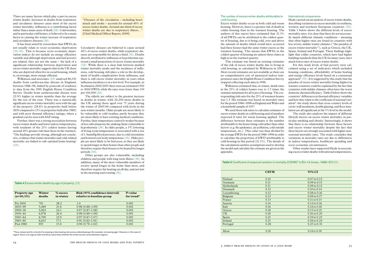The number of excess winter deaths attributable to cold housing

Excess winter deaths occur in both cold and warm housing. However, there is a greater risk of death in colder housing than in the warmest housing. The authors of this report have estimated that 21.5% of all EWDs can be attributed to the coldest quarter of housing, due to it being cold, over and above the amount of deaths which would have occurred had these houses had the same winter excess as the warmest housing. This means that EWDs in the coldest quarter of housing are almost three times as high as in the warmest quarter.

This estimate was based on existing estimates of the risk of excess winter deaths due to living in cold housing, as calculated by Wilkinson in 2001. More recent estimates are not available as there are no comprehensive sets of measured indoor temperatures since the English House Condition Survey stopped collecting such data in 1996.

Wilkinson estimated that, in winter, death rates in the 25% of coldest homes rose to 1.5 times the summer minimum for all types of housing. The corresponding risk ratio for the 25% of warmest homes was 1.3. His estimate was based on mortality rates for the period 1986–1996 in England and Wales and a household sample of 3337.

We used these risk ratios to calculate estimates of excess winter deaths in cold housing and of numbers expected if rates for warm housing applied. The difference between these estimates is the number attributable to the house being cold rather than other factors (e.g. flu epidemics, air pollution, cold outside temperature, etc.). This value was than divided by the average EWDs for the period 1986–1996 in order to calculate the proportion of EWD attributable to cold housing in this period (21.5%). The details of the calculations and key assumptions used to develop the model and calculate the estimate are given in the appendix.

#### Table 5 Coefficient of seasonal variation in mortality (CSVM)<sup>4</sup> in EU-14 (mean, 1988-97)(35)

#### International comparisons

Healy carried out an analysis of excess winter deaths, describing variations in excess mortality in southern, western and northern European countries (35). Table 5 below shows the different levels of excess mortality rates: it is clear that these do not necessarily match different climatic conditions – meaning that often higher rates are found in countries with less severe, milder winter climates ("the paradox of excess winter mortality"), such as Greece, the UK, Spain, Ireland and Portugal. These findings highlight that colder countries, which have had higher building standards than the UK for many years, have much lower rates of excess winter deaths.

For this study levels of fuel poverty were calculated using a set of indicators which included housing conditions, affordability of home heating and energy efficiency levels based on a consensual approach<sup>5</sup> (35). It is suggested by this study that the paradox of excess winter mortality being highest in warmer countries could be explained by the fact that countries with milder climates often have the worst domestic thermal efficiency. Table 6 below shows the countries' differences in thermal efficiency variables and how they relate to the coefficient of seasonal variation<sup>6</sup>: the study shows that cross-country levels of cavity wall insulation, double glazing, and floor insulation are all significant at the 5% level in the model.

The study also analyses the impact of different lifestyle factors on excess winter mortality, in particular smoking and obesity. Interestingly, it shows that there is no relationship between these factors and excess winter mortality despite the fact that these factors are strongly associated with higher nonseasonal mortality rates. The study concludes that variations in mortality rates are due to differences in indoor temperatures, healthcare spending and socio-economic circumstances.

Other studies have supported Healy in associating excess winter deaths with internal temperatures,

| 95% CI                  |
|-------------------------|
| $0.07$ to $0.13$        |
| $0.09$ to $0.13$        |
| $0.09$ to $0.13$        |
| $0.10 \text{ to } 0.14$ |
| $0.08 \text{ to } 0.16$ |
| $0.09$ to $0.17$        |
| $0.11$ to $0.15$        |
| $0.12$ to $0.16$        |
| $0.14$ to $0.18$        |
| $0.15$ to $0.21$        |
| $0.16 \text{ to } 0.20$ |
| $0.19$ to $0.23$        |
| $0.18$ to $0.24$        |
| $0.25$ to $0.31$        |
|                         |
| $0.14$ to $0.18$        |
|                         |

There are many factors which play a part in excess winter deaths: increases in deaths from respiratory and circulatory diseases cause most of the excess winter mortality, influenza is a contributing factor rather than a main cause of death (18). Cold weather, and in particular cold homes, is believed to be a main factor in causing the winter increase of respiratory and circulatory diseases (30).

## $\overline{\textbf{CSVM}}$ Finland 0.10 0.07 to 0.13 Germany 0.11 Netherlands 0.11 Denmark 0.12 Luxembourg 0.12 Belgium 0.13 **France** 0.13 0.11 to 0.15 Austria 0.14 0.12 to 0.16 Italy 0.16 0.14 to 0.18 Greece 0.18 0.15 to 0.21 UK 0.18 0.18 0.16 to 0.20 Spain 0.21 0.19 to 0.23  $I$ reland  $0.21$  0.18 to 0.24 Portugal 0.28 0.25 to 0.31 *Mean 0.16 0.14 to 0.18*

It has been noted by researchers that EWDs do not usually relate to socio-economic deprivation (32–35). This is because socio-economic deprivation indices do not include an energy efficiency variable and although deprivation and fuel poverty are related, they are not the same – the lack of a significant relationship between deprivation and excess winter mortality suggests that in the UK those who are deprived often live in social housing, which is, on average, more energy efficient.

Wilkinson and associates (23) analysed 80,331 deaths from cardiovascular disease in England, between 1986–96, linked by postcode of residence to data from the 1991 English House Condition Survey. Deaths from cardiovascular disease were 22.9% higher in winter months than the average for the rest of the year. There was a statistically significant excess winter mortality seen with the age of the property (28.8% in properties built before 1850 compared to 15% in properties built after 1980) and with poor thermal efficiency ratings, where a gradient can be seen with SAP rating.

Further, there was a strong association between excess winter deaths and lower indoor temperatures, with residents of the 25% coldest homes having around 20% greater risk than those in the warmest. 'The findings provide strong, although not conclusive, evidence that winter mortality and cold-related mortality are linked to sub-optimal home heating' (23).

Table 4 Excess winter deaths by age of property (23)

Circulatory diseases are believed to cause around 40% of excess winter deaths, while respiratory diseases are responsible for about a third (31). Deaths directly attributed to influenza or hypothermia represent a small proportion of excess winter mortality (32). While there is a clear link between marked winter mortality peaks and the incidence of influenza, cold housing still plays a role in the development of health complications from influenza, and there is still excess winter mortality in years when influenza incidence is at a low level. For example, in Scotland in 2000/2001 there were an estimated 1500 to 3000 EWDs while flu rates were lower than 150 per 100,000 (32).

The elderly are subject to the greatest increase in deaths in winter, with 20,200 more deaths in the UK among those aged over 75 years during the winter of 2005/06 compared with levels in the non-winter months. Older people are more likely to be vulnerable to cold weather, partly because they are more likely to have existing medical conditions. Further, their temperature control is weaker because of less subcutaneous fat, making them vulnerable to hypothermia (29). In older people, a 1°C lowering of living room temperature is associated with a rise of 1.3mmHg blood pressure, due to cold extremities and lowered core body temperature (33). Older people are more likely to be fuel poor, as they are likely to spend longer in their homes than other people and therefore require their houses to be heated for longer periods (34).

Other groups are also vulnerable, including children and people with long term illness (30). In addition, many of the most vulnerable members of society spend longer in the home than most, and therefore require the heating on all day, and not just in the morning and evening (31).

| Property age<br>$(n=80,331)$ | Winter<br>deaths | $%$ excess<br>in winter | Risk (95% confidence interval)<br>relative to baseline group | P-value<br>for trend <sup>*</sup> |
|------------------------------|------------------|-------------------------|--------------------------------------------------------------|-----------------------------------|
| Pre 1850                     | 701              | 28.2                    | 1.0                                                          | 0.001                             |
| $1850 - 99$                  | 5,469            | 25.6                    | $0.98(0.88 - 1.09)$                                          | 0.001                             |
| $1900 - 18$                  | 3,063            | 24.1                    | $0.97(0.87-1.08)$                                            | 0.001                             |
| $1919 - 44$                  | 6,978            | 26.0                    | $0.98(0.89 - 1.09)$                                          | 0.001                             |
| $1945 - 64$                  | 6,709            | 23.9                    | $0.97(0.87-1.07)$                                            | 0.001                             |
| $1965 - 80$                  | 6,612            | 17.1                    | $0.91(0.82 - 1.01)$                                          | 0.001                             |
| Post 1980                    | 935              | 15.0                    | $0.90(0.79-1.02)$                                            | 0.001                             |
|                              |                  |                         |                                                              |                                   |

"Diseases of the circulation – including heart attack and stroke – account for around 40% of excess winter deaths. Around one third of excess winter deaths are due to respiratory illness..." [Chief Medical Officer Report, 2009]

\* The p-values test for a trend of increasing or decreasing risk across ordered groups (for example, increasing age). However, in the case of region, there is no logical order and the p-value tests whether the winter excess varies between regions.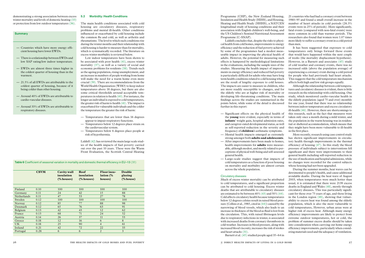Programme (CHP), the New Zealand Housing, Insulation and Health Study (HIHS), and Housing, Heating and Health Study (HHHS), a NATCEN longitudinal study of housing conditions and their association with English children's well-being, and the US Children's Sentinel Nutritional Assessment Programme (C-SNAP).

Liddell concludes that, despite the risks to physi cal health from cold homes, improvements to energy efficiency and the reduction of fuel poverty achieved by some of the programmes had a modest meas urable impact in improving the physical health of adults. However, the potential for measuring such effects is hampered by methodological limitations in the evaluations, including the sample sizes of the studies. Measuring the health impact of improve ments in energy efficiency and reduced fuel poverty is particularly difficult for adults who may have long term health conditions related to cold housing which are the result of lengthy exposure to cold houses. The impacts are easier to measure in children, who are more readily susceptible to changes, and for the elderly who are at higher risk of mortality or developing life-threatening conditions. The main findings across the studies are summarised in the points below, while some of the detail is discussed further in this report:

- Significant effects on the physical health of the **young** were evident, especially in terms of **infants**' weight gain, hospital admission rates, and caregiver-rated developmental status, as well as self-reported reduction in the severity and frequency of **children**'s asthmatic symptoms.
- Mental health impacts emerged as extremely strong amongst both **adults and adolescents** .
- After improvements have been made to homes, health improvements for **adults** were measur able, although modest, and mostly related to per ceptions of physical well-being and self-assessed general health.
- Large-scale studies suggest that impacts of cold temperatures as a function of poor housing on mortality and morbidity are almost certain across the whole population.

#### Circulatory diseases

Much of excess winter mortality can be attributed to cold temperatures, and a significant proportion can be attributed to cold housing. Excess winter deaths that are attributable to circulatory diseases are estimated to be between 40% (43) and 50% (44). Cold affects circulatory health because temperatures below 12 degrees celsius result in raised blood pres sure (Collins et al., 1985, cited in (44)) caused by the narrowing of blood vessels, which also leads to an increase in thickness of the blood as fluid is lost from the circulation. This, with raised fibrinogen levels due to respiratory infections in winter, is associated with increased deaths from coronary thrombosis in cold weather. Increases in blood pressure, along with increased blood viscosity, increases the risk of strokes and heart attacks (31) .

Barnett et al. (45) studied people aged 35–64 in

21 countries who had had a coronary event between 1980–95 and found a small overall increase in the number of heart attacks in cold periods (26.3% events were in 25% of periods). More significantly, fatal events (compared with non-fatal events) were more common in cold than warmer periods. The researchers also found that women were 1.07 times more likely to suffer a coronary event in a cold period than men.

It has been suggested that exposure to cold temperatures only brings forward those events that would have happened within the next couple of weeks (the mortality displacement hypothesis). However, in a Barnett and associates (45) study of cold weather and coronary events, there was no increased odds (above the population average) of experiencing a coronary event during a cold period for people who had previously had heart attacks. This suggests that the cold temperature mechanism affects both high and low risk groups equally.

Although the relationship between cold tempera tures and circulatory diseases is evident, there is little research on the relationship with cold housing. One study, which monitored cardio-vascular health in the elderly population (aged 75 and over) monthly for one year, found that there was no relationship between indoor temperature and excess circulatory ill-health (46). However, there are shortcomings to this research, such as the fact that measures were taken only once a month during a mild winter, and the population in the warm housing was in residen tial or sheltered accommodation, which means that they might have been more vulnerable to ill-health in the first place.

— Countries which have more energy effi-<br>
cold housing is harder to measure than for more and thermal<br>
countries to the heat and the systematically is rovived below.<br>
The case of the state of the state of the state of the Low indoor temperatures have been shown to be associated with poor health (41), excess winter mortality (37), as well as a variety of social and economic problems for residents (38). Trends such as the ageing population, rising unemployment, and an increase in numbers of people working from home will make the need for a warm home even more crucial (39). There are recommendations from the World Health Organization (WHO) to keep indoor temperatures above 18 degrees, but there are also some critical thresholds around acceptable tem peratures in relation to health (40). For instance, the longer an individual is exposed to cold temperatures, the greater risk of harm to health (41). The impact is exacerbated for vulnerable individuals and the colder the temperature the greater the risk of harm:

More recently, research using case control study has shown significant improvements in circula tory health through improvements in the thermal efficiency of housing (47). In this study the blood pressure of individuals subject to interventions fell significant and there were improvements to their general health including self-reported reduction in the use of medication and hospital admissions, while no changes were recorded for the control subjects whose housing had not been upgraded.

During the summer months, heat waves can be detrimental to people's health, and cause additional avoidable deaths. During the heat wave of August 2003, when temperatures were much hotter than usual, it is estimated that there were 2139 excess deaths in England and Wales (48), mostly through circulatory diseases**.** This was particularly signifi cant for those over 75 years of age, and those living in the London region (48), showing that vulner ability to excess heat was found among the elderly population, which is also the most vulnerable to cold temperatures **.** However, urban areas were at higher risk of excess heat. Although many energy efficiency improvements are likely to protect from extreme outdoor temperatures, hot or cold, the problem of summer excess deaths should be taken into consideration when carrying out home energy efficiency improvements, particularly when consid ering materials used and the adequacy of ventilation.

|                    | <b>CSVM</b> | Cavity wall<br>insulation<br>$%$ houses) | Roof<br>insulation<br>$(\%$ houses) | Floor insu-<br>lation $\frac{6}{6}$<br>houses) | Double<br>glazing<br>(% house) |  |
|--------------------|-------------|------------------------------------------|-------------------------------------|------------------------------------------------|--------------------------------|--|
|                    |             |                                          |                                     |                                                |                                |  |
| Finland            | 0.10        | 100                                      | 100                                 | 100                                            | 100                            |  |
| Germany            | 0.11        | 24                                       | 42                                  | 15                                             | 88                             |  |
| <b>Netherlands</b> | 0.11        | 47                                       | 53                                  | 27                                             | 78                             |  |
| Sweden             | 0.12        | 100                                      | 100                                 | 100                                            | 100                            |  |
| Norway             | 0.12        | 85                                       | 77                                  | 88                                             | 98                             |  |
| Denmark            | 0.12        | 65                                       | 76                                  | 63                                             | 91                             |  |
| Belgium            | 0.13        | 42                                       | 43                                  | 12                                             | 62                             |  |
| France             | 0.13        | 68                                       | 71                                  | 24                                             | 52                             |  |
| Austria            | 0.14        | 26                                       | 37                                  | 11                                             | 53                             |  |
| Greece             | 0.18        | 12                                       | 16                                  | 6                                              | 8                              |  |
| <b>UK</b>          | 0.18        | 25                                       | 90                                  | $\overline{4}$                                 | 61                             |  |
| Ireland            | 0.21        | 42                                       | 72                                  | 22                                             | 33                             |  |
| Portugal           | 0.28        | 6                                        | 6                                   | $\overline{2}$                                 | $\overline{3}$                 |  |
|                    |             |                                          |                                     |                                                |                                |  |

- cient housing have lower EWDs.
- There is a relationship between EWDs and low SAP rating/low indoor temperature.
- EWDs are almost three times higher in the coldest quarter of housing than in the warmest.
- 21.5% of all EWDs are attributable to the coldest quarter of housing, because of it being colder than other housing.
- Around 40% of EWDs are attributable to cardio-vascular diseases.
- Around 33% of EWDs are attributable to respiratory diseases.

demonstrating a strong association between excess winter mortality and levels of domestic heating (33) or protection from low outdoor temperatures (36) .

#### **Summary**

#### 5.2 Morbidity: Health Conditions

The main health conditions associated with cold housing are circulatory diseases, respiratory problems and mental ill-health. Other conditions influenced or exacerbated by cold housing include the common flu and cold, as well as arthritis and rheumatisms. The level to which such conditions rise during the winter months and their relationship with cold housing is harder to measure than for mortality, which is systematically recorded. The literature on excess winter morbidity is reviewed below.

- Temperatures that are lower than 16 degrees appear to impair respiratory functions.
- Temperatures below 12 degrees place strain on the cardiovascular system.
- Temperatures below 6 degrees place people at risk of hypothermia.

Liddell (42) has reviewed the main large scale stud ies of the health impacts of fuel poverty carried out over the past 10 years. These were the Warm Front Evaluation, the Scottish Central Heating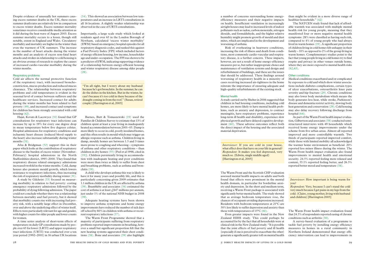a number of concerns surrounding home energyefficiency measures and their negative impacts on health. Insufficient ventilation in increasingly airtight houses may lead to increased levels of indoor pollutants such as radon, carbon monoxide, nitrogen dioxide, and formaldehyde, and the higher relative humidity might promote growth of mould and dust mites, which are implicated in the development and worsening of asthma.

Risk of overheating in heatwave conditions, increasing the risk of illness and death from conditions, most commonly cardio-vascular and respiratory disease, is a further concern. These impacts, however, are not a result of home energy-efficiency measures per se, but rather inappropriate choice and maintenance of ventilation systems and design and refurbishment of buildings, and these are the issues that should be addressed. These findings around worsening of respiratory health in a minority of cases receiving increased air-tightness in the home reiterate the importance of ensuring adequate and high-quality refurbishments of the existing stock.

#### Mental health

The NATCEN study found that lack of affordable warmth was associated with multiple mental health risk for young people, meaning that they manifested four or more negative mental health symptoms: 28% were classified as having such risk, compared to 4% of young people who had always lived in warm homes (19). A significant proportion of children living in cold homes felt unhappy in their family – 10% as opposed to 2% of the group living in warm homes. Complementary studies point to the fact that young people living in cold homes try to find respite and privacy in other venues outside home, where they are more exposed to mental health risks  $(62, 63)$ .

A study carried out by Shelter in 2006 suggested that children in bad housing conditions, including cold homes, are more likely to have mental health problems, such as anxiety and depression, to contract meningitis, have respiratory problems, experience long-term ill health and disability, experience slow physical growth and have delayed cognitive development (60). These adverse outcomes reflect both the direct impact of the housing and the associated material deprivation.

Medical conditions exacerbated and/or complicated by exposure to cold and which show winter associations include diabetes complications, certain types of ulcer exacerbations, osteoarthritis knee pain severity and hip fracture (29). Chronic conditions may also lower body metabolism which means the body generates less heat, while stroke, Parkinson's disease and dementia restrict activity, slowing body heat generation and conservation (29). Cold housing may also delay recovery following discharge from hospital  $(64)$ .

The Warm Front and the Scottish CHP evaluation assessed mental health impacts on adults and both found that effects were prominent in the mental health domain, in particular for borderline anxiety and depression. In the short and medium term, receiving a Warm Front package is associated with significantly better mental health. The study showed that as average bedroom temperature rose, the chances of occupants avoiding depression increased. Residents with bedroom temperatures at 21°C are 50% less likely to suffer depression and anxiety than those with temperatures of 15°C (61).

Even greater impacts were found in the New Zealand HIHS study. This could perhaps be accounted for by the fact that all households were at clinical risk in the New Zealand study. "It is possible that the joint effects of fuel poverty and ill health (especially if one is perceived to exacerbate the other) generate a significantly greater toll on mental health

than might be evident in a more diverse range of healthier households." (42)

Hajat, Kovats & Lacowycz (50) found that GP consultations for respiratory tract infections can increase by up to 19% for every one degree drop in mean temperature below five degrees celsius. Hospital admissions for respiratory conditions and ischaemic heart disease (reduced blood supply to the heart) also increase substantially during winter months  $(51)$ .

#### Other conditions

As part of the Warm Front health impact evaluation, Gilbertson and associates (58) conducted semistructured interviews with 49 households which received home energy improvements under the scheme from five urban areas. Almost all reported improved and more controllable warmth. Two thirds of participants reported improved comfort, while those with limited mobility all acknowledged the warmer home environment as beneficial. 20% reported less minor illness during the winter. The Warm Front health impact evaluation also found improvements to mental health and emotional security. 24.5% reported feeling more relaxed and content, 55.1% reported feeling better, and 26.5% reported better mood and temperature (58).

The Warm Front health impact evaluation found that 24.5% of respondents reported easing of chronic conditions such as arthritis (30).

A child who develops asthma this way is likely to have it for many years and possibly life, and this is particularly concerning given 2009 estimates that 1.1 million children in the UK are affected by asthma (39). Brambleby and associates (56) estimated the cost of asthma is at least  $\angle$  647 millions per annum, just under 1% of the national NHS budget in 2008  $(39)$ 

> A survey-based evaluation of a programme to tackle fuel poverty by installing energy efficiency measures in homes in a rural community in Northern Ireland demonstrated that energy efficiency intervention can lead to improvements in

Despite evidence of unusually hot summers causing excess summer deaths in the UK, these excess summer death rates are relatively low in comparison to excess winter deaths. Excess summer mortality sometimes receives considerable media attention as it did during the heat wave of August 2003. Excess summer mortality occurs to a lesser, though still notable, extent in England and Wales. Circulatory morbidity and mortality are higher in the winter than even the warmest of UK summers. The increase in the number of heart attacks during the winter months and an analysis of excess non-fatal heart attacks and strokes in relationship to cold housing is an obvious avenue of research to explore the causes of increased cardio-vascular morbidity during the winter months.

> *Interviewer*: If you are cold in your house, what effect does that have on your life in general? *Respondent*: It makes you feel depressed, very much so. (Edwin, single middle aged) [Harrington et al, 2005]

#### Respiratory problems

Cold air affects the normal protective function of the respiratory tract, with increased bronchoconstriction, mucus production and reduced mucus clearance. The relationship between respiratory problems and cold temperatures is evident in the seasonal level of contact between sufferers and the healthcare services. Increased contact for adults during the winter months has been related to fuel poverty (49), and increased contact and symptoms for children has been strongly associated with cold housing (42).

Afza & Bridgman (52) support this in their paper which looks at the contribution of respiratory disease to the burden of excess winter (November-February) hospital admissions in the North Staffordshire district, 1995–2000. They found that respiratory disease related emergency admissions increased twofold in the winter months. Cold, damp houses also promote mould growth, which lowers resistance to respiratory infections, thus increasing the risk of respiratory morbidity during winter (31).

A study by Gilchrist (53) focused on measuring morbidity in relation to fuel poverty: costing emergency respiratory admissions followed by the probability of dying following admission. The paper could not conclude whether there was a relationship between mortality and fuel poverty, but it showed that morbidity counts rise with increasing fuel poverty risk, with a notably large effect in December, over and above the underlying effect of winter itself. Effects were particularly relevant for age and gender, with higher counts for older people and lower counts for women.

A time series analysis of short-term effects of temperature on daily GP consultations made by people over 65 for lower (LRTI) and upper respiratory tract infections (URTI) was conducted over a ten year period (1992–2001) in 16 urban UK locations

(54). This showed an association between low temperatures and an increase in LRTI consultations in all 16 locations. A slightly weaker relationship was observed in the case of URTI consultations.

Importantly, a large scale study which looked at residents aged over 65 in the London Borough of Newham, calculated 'excess winter morbidity' (EWM) based on emergency hospital episodes for all respiratory diagnosis codes, and ranked this against a Fuel Poverty Index (FPI) which included factors of energy efficient housing, low income, householder age and under-occupation. The FPI was shown to be a predictor of EWM, indicating supporting evidence of a relationship between energy-efficient housing and winter respiratory disease among older people (28).

Barnes, Butt & Tomaszewski (19) used the Families & Children Survey to estimate that 13% of children spent at least a year living in inadequately heated accommodation between 2001–05. Damp is more likely to occur in cold, poorly insulated homes, and this often results in mould which may trigger an allergic response such as asthma. Children living in damp, mouldy homes are between 1.5 and 3 times more prone to coughing and wheezing – symptoms of asthma and other respiratory conditions – than children in dry homes (55) (Peel et al 1998, cited in (19)). Children persistently living in accommodation with inadequate heating and poor conditions were more than twice as likely to suffer from chest and breathing problems, such as asthma and bronchitis (19).

Adequate heating systems have been shown to improve asthma symptoms and home energy improvements have reduced the number of sick days off school by 80% in children with asthma or recurrent respiratory infections (57).

The Warm Front Programme showed that a majority of participants suffering from respiratory problems reported improvements in breathing, however a small but significant proportion felt that the new heating systems aggravated their chest conditions (58). Bone and associates (59) also highlight

"I'm all right, but I worry about my husband because he's got bronchitis. In the summer, he can do the dishes in the kitchen. But in the winter, he can't because it's too cold in there because of the draught coming in from the roof." (Susan, retired couple) [Harrington et al, 2005]

> *Interviewer*: How important is being warm for you?

> *Respondent*: Very, because I can't stand the cold very much because I get pains in my legs from the cold. (Claire, young mother, living with husband and children) [Harrington 2005]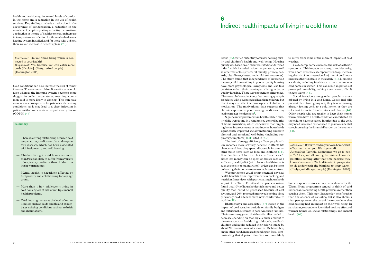health and well-being, increased levels of comfort in the home and a reduction in the use of health services. Key findings include a reduction in the occurrence of condensation, a reduction in the numbers of people reporting arthritis/ rheumatism, a reduction in the use of health services, an increase in temperature satisfaction for those who had a new heating system installed, and for those who did not, there was an increase in benefit uptake (70).

> Evans (65) carried out a study of wider housing quality and children's health and well-being. Housing quality was based on an observer-rated standardised index<sup>7</sup> which included indoor temperature, as well as other variables (structural quality, privacy, hazards, cleanliness/clutter, and children's resources). The study found that independently of household income, children residing in poorer quality housing have more psychological symptoms and less task persistence than their counterparts living in better quality housing. There were no gender differences. The research showed not only that housing quality is associated with psychological health in children, but that it may also affect certain aspects of children's motivation. The motivational data suggests that chronic exposure to poor housing conditions may lead to greater helplessness<sup>8</sup>.

Cold conditions can also increase the risk of minor illnesses. The common cold replicates faster in a cold nose whereas the immune system becomes more sluggish in colder temperatures, meaning a common cold is more likely to develop. This can have more severe consequences for patients with existing conditions, as it may lead to a chest infection in patients with chronic obstructive pulmonary disease (COPD) (44).

#### **Summary**

Warmer homes could bring potential physical health benefits from improvements in cooking and nutrition. Interviews with participating households as part of the Warm Front health impact evaluation found that 10% of householders felt more and better quality food could be purchased because of cost savings, and 20% reported improved cooking since previously cold kitchens were now comfortable to work in  $(58)$ .

Significant improvements in health-related quality of life were found in a randomised controlled trial of home insulation, which concluded that targeting home improvements at low-income households significantly improved social functioning and both physical and emotional well-being (including respiratory symptoms) ((41) cited in (66)).

The level of energy efficiency affects people with low incomes more severely because it affects life chances and how they spend disposable income on other basic items such as food and clothing (14). Poor families will face the choice to "heat or eat": either less money can be spent on basics such as a sufficient, healthy diet (with obvious health impacts such as obesity or malnutrition), or less can be spent on heating their homes to a reasonable temperature.

*Interviewer*: Do you think being warm is connected to your health? *Respondent*: Yes, because you can catch more colds [if colder]. (Betty, retired couple) [Harrington 2005]

> Bhattacharya and associates (67) looked at the impact of cold weather periods on family budgets and nutritional outcomes in poor American families. Their results suggested that these families tended to decrease spending on food by a similar amount to the extra spent on fuel during cold spells, and both children and adults reduced their caloric intake by about 200 calories in winter months. Rich families, on the other hand, increased spending on food, demonstrating that deprived families are more likely

to suffer from some of the indirect impacts of cold weather.

Cold, damp homes increase the risk of arthritic symptoms. This impacts on strength and dexterity, which both decrease as temperatures drop, increasing the risk of non-intentional injuries. A cold house increases the risk of falls in the elderly (31). Domestic accidents, including fatalities, are more common in cold homes in winter. This can result in periods of prolonged immobility, making it even more difficult to keep warm (44).

Social isolation among older people is exacerbated by living in a cold home. Costly fuel bills prevent them from going out, they fear returning, already feeling cold, to a cold home, or they are reluctant to invite friends into a cold house (44). Older people who are unable to keep their homes warm, who have a health condition exacerbated by the cold or have sustained injuries due to the cold, may need increased care or need to go into residential care, increasing the financial burden on the country (44).

Some respondents to a survey carried out after the Warm Front programme tended to think of cold indoors as exacerbating health problems rather than causing them. This may illustrate lay beliefs rather than the absence of causality, but it also shows a clear perception on the part of the respondents that cold housing had an impact on their well-being. In particular, respondents identified positive effects of warmer homes on social relationships and mental health (68).

## 6 Indirect health impacts of living in a cold home

- There is a strong relationship between cold temperatures, cardio-vascular and respiratory diseases, which has been associated with fuel poverty and cold housing.
- Children living in cold homes are more than twice as likely to suffer from a variety of respiratory problems than children living in warm homes.
- Mental health is negatively affected by fuel poverty and cold housing for any age group.
- More than 1 in 4 adolescents living in cold housing are at risk of multiple mental health problems.
- Cold housing increases the level of minor illnesses such as colds and flu and exacerbates existing conditions such as arthritis and rheumatisms.

*Interviewer*: If you're cold in your own home, what effect has that on your life in general?

*Respondent*: Terrible. Sometimes we go to bed at 7 o'clock, and all our regular visitors know it's pointless coming after that time because they know where we are. We find it easier to go upstairs to sit underneath the blankets to keep warm. (Evelyn, middle aged couple) [Harrington 2005]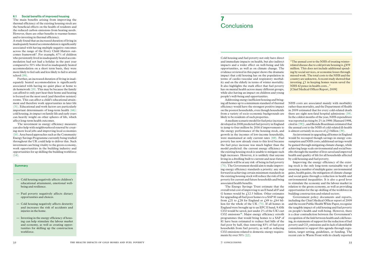Cold housing and fuel poverty not only have direct and immediate impacts on health, but also indirect impacts and a wider effect on well-being and life opportunities, as well as on climate change. The evidence reviewed in this paper shows the dramatic impact that cold housing has on the population in terms of cardio-vascular and respiratory morbidity and on the elderly in terms of winter mortality. It also highlights the stark effect that fuel poverty has on mental health across many different groups, while also having an impact on children and young people's well-being and opportunities.

Addressing energy inefficient housing and bringing all homes up to a minimum standard of thermal efficiency would have the strongest positive impact on the poorest households, even though households from a variety of socio-economic backgrounds are likely to be residents of such properties.

The Energy Savings Trust estimate that the overall total cost of improving to an E band all F and G homes would be  $f12.5$  billion. Other estimates for upgrading all fuel poor homes to a SAP 81 range from  $\ell$ ,21 to  $\ell$ ,28 for England or  $\ell$ ,49 to  $\ell$ ,64 billion for the whole of the UK (71). If all homes in England were brought up to an EPC E band, 9.4Mt CO2 would be saved, just under 2% of the UK's net CO2 emissions<sup>10</sup>. Major energy efficiency retrofit programmes that would bring homes to a SAP of 81 have been estimated to reduce fuel bills of the fuel poor by half, thus removing 83% of fuel poor households from fuel poverty, as well as reducing CO2 emissions related to domestic energy requirements by over 50% (22).

NHS costs are associated mainly with morbidity rather than mortality, and the Department of Health in 2009 estimated that for every cold-related death there are eight non-fatal hospital admissions (39). In the coldest months of the year, NHS expenditure was reported as rising by 2% in 1998 (Hansard 1998, cited in (39)) , and Brenda Boardman estimated that the annual cost to the NHS of cold-related ill-health is almost certainly in excess of  $\mathcal{L}$  billion (39).

A medium scenario model for fuel price increases developed in 2008 predicted fuel poverty in England to jump to four million by 2016 if improvements to the energy performance of the housing stock, and growth in the incomes of low-income households, were maintained at only current rates (69). Fuel poverty has now already risen to this level because the fuel price increase was much higher than the model predicted: the current energy efficiency of the existing housing stock is unable to mitigate such high increases. However, it is unlikely that anyone living in a dwelling built to current and near-future standards will be at any risk of being in fuel poverty (70). The Government should aim to make improving energy efficiency standards a priority: any step forward in achieving certain minimum standards in the existing housing stock will reduce the risk of fuel poverty for current and future households and bring associated health benefits.

The investment in energy efficiency measures can also help with neighbourhood renewal by creating more local jobs and improving local economies (10). Area based approaches such as the Community Energy Savings Programme currently being trialled throughout the UK could help to deliver this. Such investment can bring vitality to the green economy, work opportunities in the building industry and opportunities for up skilling the building workforce  $(14)$ .

### **Summary**

An investment in upgrading all homes in England would be recouped though savings in energy consumption and NHS costs; additional savings would be gained through mitigating climate change, while achieving large scale environmental and social benefits through the number of lives saved and improved health and quality of life for all households affected by cold housing and fuel poverty.

## 7 **Conclusions**

Improving the energy efficiency of the existing stock is the only long-term sustainable way of ensuring a number of multiple gains: environmental gains, health gains, the mitigation of climate change and social gains through a reduction in health and environmental inequalities. It is also a good lever to stimulate the economy and the labour market in relation to the green economy, as well as providing opportunities for the up-skilling of the workforce in building construction and related sectors.

Government policy documents and reports, including the Chief Medical Officer report of 2009 and the recent Public Health White Paper, recognise the tangible impact of cold housing and fuel poverty on people's health and well-being. However, there is a clear contradiction between the Government's recognition of the link between health and cold housing, its statements of support for the reduction of fuel poverty and  $CO<sub>2</sub>$  emissions and its lack of identifiable commitment to support this agenda through regulation, target setting, guidelines, or funding. The recent cuts to Warm Front with its clearly reported

#### 6.1 Social benefits of improved housing

The main benefits arising from improving the thermal efficiency of the existing housing stock are the beneficial effects on the health of residents and the reduced carbon emissions from heating needs. However, there are other benefits to warmer homes and to investing in thermal efficiency.

A study found that an increased duration of living in inadequately heated accommodation is significantly associated with having multiple negative outcomes across the range of the Every Child Matters outcomes framework<sup>9</sup>. For example, 67% of children who persistently lived in inadequately heated accommodation had not had a holiday in the past year compared to 50% who lived in inadequately heated accommodation on a short term basis, they were more likely to feel safe and less likely to fail to attend school (19).

Further, an increased duration of living in inadequately heated accommodation is significantly associated with having no quiet place at home to do homework (19). This may be because the family can afford to only part heat their home and heating is focused on the most used (and therefore noisiest) rooms. This can affect a child's educational attainment and therefore work opportunities in later life (31). Educational and work factors are particularly important determinants of long-term health (66): cold housing, its impact on family life and early years can heavily weight on other spheres of life, which affect long-term health outcomes.

- Cold housing negatively affects children's educational attainment, emotional wellbeing and resilience.
- Fuel poverty negatively affects dietary opportunities and choices.
- Cold housing negatively affects dexterity and increases the risk of accidents and injuries in the home.
- Investing in the energy efficiency of housing can help stimulate the labour market and economy, as well as creating opportunities for skilling up the construction workforce.

"The annual cost to the NHS of treating winterrelated disease due to cold private housing is  $£859$ million. This does not include additional spending by social services, or economic losses through missed work. The total costs to the NHS and the country are unknown. A recent study showed that investing  $\ell$  in keeping homes warm saved the NHS 42 pence in health costs..."

[Chief Medical Officer Report, 2009]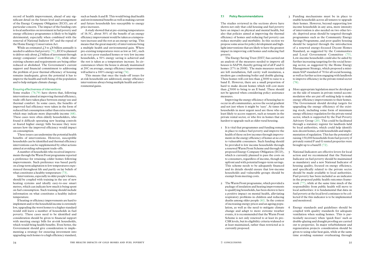#### 7.1 Policy Recommendations

The studies reviewed in the sections above have shown not only that cold housing and fuel poverty have an impact on physical and mental health, but also that policies aimed at improving the thermal efficiency of homes and reducing fuel poverty can reduce mortality and morbidity. In this section we propose some areas for policy development and highlight interventions that are likely to have the greatest impact in improving cold homes and reducing fuel poverty.

The Energy Saving Trust (EST) has carried out an analysis of the measures needed to improve all houses to SAP39, thereby getting rid of all F and G homes (17% in 2008). The main measures needed are loft installation, full cavity wall insulation, a modern gas condensing boiler and double glazing. These homes will cost less than  $\text{\textsterling}3000$  to raise to a band E. However, there are a small proportion of hard to make decent homes which will cost more than  $\ell$ ,5000 to bring to an E band. These should not be ignored when considering policy assistance measures.

Improving the energy efficiency of housing has to occur in all communities, across the social gradient and not just where it might be 'easy'. At times the households in most urgent need are those who are least likely to access support, such as tenants in the private rental sector, or who live in homes that are hardest to upgrade such as older rural housing.

- 1 It is vital that programmes and funding remain in place to reduce fuel poverty and improve the health of those on low incomes through improvements in the energy efficiency of homes at no cost to vulnerable consumers. Such funding should be provided to low income households through a renewed Warm Front Scheme and through the proposed Energy Company Obligation (ECO), which is currently planned to pass the costs on to consumers, regardless of income, though not upfront and with potential longer-term savings. This scheme needs to be adequately financed and its details should ensure that low-income households and vulnerable groups should be exempt from meeting costs.
- 2 The Warm Front programme, which provided a package of insulation and heating improvements to qualifying households, has been shown to have a positive impact on mental health, alleviating respiratory problems in children and reducing deaths among older people (61). In the context of increasing energy prices and an ageing population, as well as the need to mitigate climate change and adapt to more extreme weather events, it is recommended that the Warm Front Scheme is not only renewed to at least its pre-CSR levels, but its eligibility criteria widened or at least maintained, rather than restricted as is currently proposed.

While an estimated  $\angle$  5 to  $\angle$  8 billion annually is needed to address fuel poverty (71), ECO is planned to deliver only about  $\mathcal{L}$ 1 billion of investment through energy companies' contribution (72), while other existing schemes and requirements are being either reduced or abolished. The Government's current support and financial commitment to addressing the problem of poor thermal efficiency of housing remains inadequate, given the potential it has to improve the health and well-being of the population and to help mitigate climate change.

A number of households who received improvements through the Warm Front programme reported a preference for retaining colder homes following improvements. Such preference was based partly on a long-term adaptation to low temperatures experienced throughout life and partly on lay beliefs of what constitutes a healthy temperature (73).

- 3 Funding mechanisms must be in place to enable households across all tenures to upgrade their homes. However, beyond supporting low income households in any area, more intensity of intervention is also needed on two other levels: deprived areas should be targeted through programmes such as the Community Energy Savings Programme, and poor quality housing should be targeted through the introduction of a renewed energy-focused Decent Homes Standard, as suggested by the Communities and Local Government Committee (75). Low-income households could also be aided by further increasing targeting for the social housing sector, as suggested by the Home Energy Management Strategy, which proposed a minimum SAP standard of 70 for all social housing, as well as further action engaging with landlords to improve efficiency in the private rental sector (76).
- More appropriate legislation must be developed on the side of tenants in private rented accommodation who are put off seeking help to make energy efficiency improvements to their homes. The Government should develop targets for upgrading the energy efficiency of the existing stock, including some form of minimum energy efficiency regulation for the private rental sector, which is supported by the Fuel Poverty Advisory Group (20). This could be facilitated through a statutory register for landlords held by local authorities, which could help identify non-decent homes, at risk households and implementation of regulation. This has the potential of raising 150,000 households from fuel poverty if privately rented F and G rented properties were brought up to a band E (72).
- 5 National Indicators are effective levers for local action and we recommend that the National Indicator on fuel poverty should be maintained as mandatory and a new National Indicator of housing quality, focused on energy efficiency, and specifically related to the private sector should be made available to local authorities. Fuel poverty has been included as an indicator in the proposed public health outcomes framework (77), while at the same time much of the responsibility from public health will move to local authorities: it is fundamental that data on fuel poverty at the local level continues to be collected if the this indicator is to be implemented and monitored.
- 6 Energy standards and guidelines should be coupled with quality standards for adequate ventilation when sealing homes. This is particularly necessary when 'quick fixes' such as double-glazing and draught proofing are carried out to properties. In major refurbishment and regeneration projects consideration should be given to using solar heat gain, while at the same time avoiding summer overheating through
- 
- 
- 
- 
- 

record of health improvement, ahead of any significant detail on the future level and arrangement of the Energy Company Obligation (ECO), are of particular concern. The impact of the funding cuts to local authorities on investment in fuel poverty and energy efficiency programmes is likely to be highly detrimental, especially when combined with the removal of National Indictor 187 and the repeal of the Home Energy Conservation Act.

#### Ensuring effectiveness of interventions

Some studies (74;79) have shown that, following interventions aimed at improving thermal efficiency, trade-offs have taken place between energy use and thermal comfort. In some cases, the benefits of improved fuel efficiency were taken in the form of reduced fuel consumption rather than extra warmth, which may indicate more disposable income (68). These cases were often elderly householders, who found it difficult operating new heating controls or feared higher energy bills because they were unsure how the improved efficiency would impact on consumption.

These issues can undermine the potential health benefits of interventions. However, susceptible households can be identified and thermal efficiency interventions can be supplemented by other actions aimed at avoiding subsequent trade-offs.

Interventions, especially in older people's homes, should be coupled with training in the use of new heating systems and ideally easy-to-use smart metres, which can indicate how much is being spent on fuel consumption. Such training should include information on what constitutes a healthy indoor temperature.

If heating or efficiency improvements are hard to implement and/or the household income is extremely low, upgrading the worst homes to a higher standard would still leave a number of households in fuel poverty. These cases need to be identified and consideration should be given to financial support with meeting energy bills for at-risk households, which would bring health benefits. Even better, the Government should give consideration to implementing a strategy for ensuring investment into upgrading such homes to a high efficiency standard,

such as bands A and B. This would bring dual health and environmental benefits as well as making current and future households less susceptible to energy price increases.

A study showed that at pre-existing temperatures of 16.5C, about 30% of the benefit of an energy efficiency improvement would be taken as a temperature increase and the rest as an energy saving. This means that the great majority of interventions bring a multiple health and environmental gain. Where pre-existing temperatures were as low as 14C, such as in very poor standard homes or very low income households, a 50% energy saving is achieved and the rest is taken as a temperature increase. In circumstances where the house is already maintained at 20C on average, energy efficiency improvements will achieve a 100% energy saving (74).

This means that once the trade-off issues for at-risk households are addressed, energy efficiency interventions always bring multiple health and environmental gains.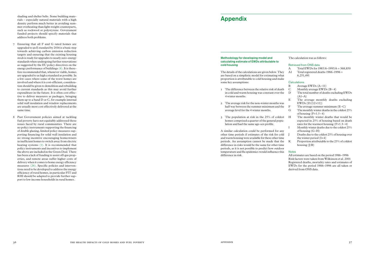## Appendix

#### Methodology for developing model and calculating estimate of EWDs attributable cold housing

The details of the calculations are given below. are based on a simplistic model for estimatin proportion is attributable to cold housing and some key assumptions:

- $\Gamma$  The difference between the relative risk of in cold and warm housing was constant of 4 winter months.
- 2 The average risk for the non-winter mon half way between the summer minimum average level for the 4 winter months.
- $\overline{3}$  The population at risk in the 25% of homes comprised a quarter of the general lation and had the same age-sex profile.

A similar calculation could be performed other time periods if estimates of the risk for and warm housing were available for these oth periods. An assumption cannot be made th difference in risks would be the same for other periods, as it is not possible to predict how of temperature and flu epidemics would influen difference in risk.

|                    | The calculation was as follows:                                 |                                                                                                                                          |  |  |  |  |
|--------------------|-----------------------------------------------------------------|------------------------------------------------------------------------------------------------------------------------------------------|--|--|--|--|
| : to               |                                                                 | Retrieved from ONS data                                                                                                                  |  |  |  |  |
|                    | A                                                               | Total EWDs for $1985/6 - 1995/6 = 368,850$                                                                                               |  |  |  |  |
| v. They            | A1                                                              | Total registered deaths $1986 - 1996 =$                                                                                                  |  |  |  |  |
| ıg what            |                                                                 | 6,251,491                                                                                                                                |  |  |  |  |
| d make             |                                                                 |                                                                                                                                          |  |  |  |  |
|                    |                                                                 | Calculations                                                                                                                             |  |  |  |  |
|                    | B                                                               | Average EWDs $(A-11)$                                                                                                                    |  |  |  |  |
| of death           | $\mathcal{C}$                                                   | Monthly average EWDs $(B \div 4)$                                                                                                        |  |  |  |  |
| ver the            | D                                                               | The total number of deaths excluding EWDs<br>$(A1-A)$                                                                                    |  |  |  |  |
| ths was            | Е                                                               | The average monthly deaths excluding<br>$EWDs(D/(12\times11))$                                                                           |  |  |  |  |
| and the            | F                                                               | The average summer minimum $(E-C)$                                                                                                       |  |  |  |  |
|                    | G                                                               | The monthly winter deaths in the coldest 25%<br>of housing $(F \times 1.5 \div 4)$                                                       |  |  |  |  |
| coldest<br>l popu- | H                                                               | The monthly winter deaths that would be<br>expected in 25% of housing based on death<br>rates for the warmest housing $(F \times 1.3-4)$ |  |  |  |  |
| for any            | I                                                               | Monthly winter deaths due to the coldest 25%<br>of housing $(G-H)$                                                                       |  |  |  |  |
| or cold<br>er time | T                                                               | Deaths due to the coldest 25% of housing over<br>the winter period $(I \times 4)$                                                        |  |  |  |  |
| hat the<br>er time | K                                                               | Proportion attributable to the 25% of coldest<br>housing $(J/B)$                                                                         |  |  |  |  |
| outdoor            |                                                                 |                                                                                                                                          |  |  |  |  |
| nce this           | <b>Notes</b><br>All estimates are based on the period 1986–1996 |                                                                                                                                          |  |  |  |  |
|                    | Risk factors were taken from Wilkinson et al. 2001              |                                                                                                                                          |  |  |  |  |
|                    | Decisional desthe montality rates and estimates of              |                                                                                                                                          |  |  |  |  |

Registered deaths, mortality rates and estimates of EWDs for the period 1986–1996 are all taken or derived from ONS data.

shading and shelter belts. Some building materials – especially natural materials with a high density perform much better in avoiding summer overheating than light-weight counterparts, such as rockwool or polystyrene. Government funded projects should specify materials that address both problems.

- 7 Ensuring that all F and G rated homes are upgraded to an E standard by 2016 is a basic step towards achieving carbon emission reduction targets and ensuring that the existing housing stock is ready for upgrades to nearly zero-energy standards when undergoing further renovations as suggested by the EU policy directives on the energy performance of buildings (4). It is therefore recommended that, whenever viable, homes are upgraded to as high a standard as possible. In a few cases where some of the worst homes are involved and where it is cost-efficient, consideration should be given to demolition and rebuilding to current standards as this may avoid further expenditure in the future. It is often cost effective to deliver measures as packages, bringing them up to a band D or C, for example internal solid wall insulation and window replacements are usually most cost effectively delivered at the same time.
- 8 Past Government policies aimed at tackling fuel poverty have not equitably addressed those issues faced by rural communities. There are no policy instruments supporting the financing of double glazing, limited policy measures supporting financing for solid wall insulation and no strong incentive encouraging homeowners in inefficient homes to switch away from electric heating systems (1). It is recommended that policy instruments and incentives to implement the above are included in the Green Deal. There has been a lack of funding to assist off-gas properties, and remote areas suffer higher costs of delivery when it comes to home energy efficiency measures (26). Specific policies and interventions need to be developed to address the energy efficiency of rural homes, in particular FIT and RHI should be adapted to provide further support to low income households in rural homes.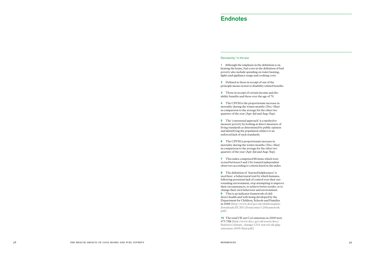## Endnotes

#### Denoted by " in the text

1 Although the emphasis in the definition is on heating the home, fuel costs in the definition of fuel poverty also include spending on water heating, lights and appliance usage and cooking costs.

2 Defined as those in receipt of one of the principle means tested or disability related benefits.

3 Those in receipt of certain income and disability benefits and those over the age of 70.

4 The CSVM is the proportionate increase in mortality during the winter months (Dec–Mar) in comparison to the average for the other two quarters of the year (Apr–Jul and Aug–Sep).

5 The 'consensual approach' is a method to measure poverty by looking at direct measures of living standards as determined by public opinion and identifying the population subject to an enforced lack of such standards.

6 The CSVM is proportionate increase in mortality during the winter months (Dec–Mar) in comparison to the average for the other two quarters of the year (Apr–Jul and Aug–Sep).

7 This index comprised 88 items which were scored between 0 and 2 by trained independent observers according to criteria listed in the index.

8 The definition of 'learned helplessness' is used here: a behavioural trait by which humans, following persistent lack of control over their sur rounding environment, stop attempting to improve their circumstances, to achieve better results, or to change their own behaviour and environment. 9 This is an indicator framework of children's health and well-being developed by the

Department for Children, Schools and Families in 2008 (http://www.dcsf.gov.uk/childrensplan/ downloads/ECM%20outcomes%20framework. pdf )

10 The total UK net Co2 emissions in 2009 were 473.7Mt (http://www.decc.gov.uk/assets/decc/ Statistics/climate\_change/1214-stat-rel-uk-ghgemissions-2009-final.pdf)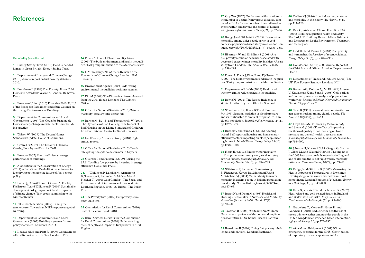27 Guy WA (1857) On the annual fluctuations in the number of deaths from various diseases, compared with like fluctuations in crime and in other events within and beyond the control of human will. *Journal of the Statistical Society,* 21, pp.52–86.

28 Rudge J and Gilchrist R (2005) Excess winter morbidity among older people at risk of cold homes: a population-based study in a London borough. *Journal of Public Health*, 27(4), pp.353–358.

31 Department of Health (2007) Health and winter warmth: reducing health inequalities.

29 El-Ansari W and El-Silimy S (2008) Are fuel poverty reduction schemes associated with decreased excess winter mortality in elders? A case study from London, UK. *Chronic Illness*, 4(4), pp.289–294.

30 Power A, Davis J, Plant P and Kjellstrom T (2009) The built environment and health inequalities. Task group submission to the Marmot Review.

32 Bowie N (2002) The Raised Incidence of Winter Deaths. Register Office for Scotland.

33 Woodhouse PR, Khaw KT and Plummer M (1993) Seasonal variation of blood pressure and its relationship to ambient temperature in an elderly population. *Journal of Hypertension,* 11(11), pp.1267–1274.

34 Burholt V and Windle G (2006) Keeping warm? Self-reported housing and home energy efficiency factors impacting on older people heating homes in North Wales. *Energy Policy*, 34(10), pp.1198–1208.

35 Healy JD (2003) Excess winter mortality in Europe: a cross country analysis identifying key risk factors. *Journal of Epidemiology and Community Health*, 57(10), pp.784–789.

36 Wilkinson P, Pattenden S, Armstrong B, Fletcher A, Kovats RS, Mangtani P, and McMichael AJ (2004) Vulnerability to winter mortality in elderly people in Britain: population based study. *British Medical Journal*, 329(7467), pp.647–651.

37 Isaacs N and Donn M (1993) Health and Housing - Seasonality in New-Zealand Mortality. *Australian Journal of Public Health*, 17(1), pp.68–70.

38 Trotman R (2008) Waitakere NOW Home: Occupants experience of the home and implications for future NOW homes. Beacon Pathway Ltd.

40 Collins KJ (1986) Low indoor temperatures and morbidity in the elderly. *Age Aging*, 15(4), pp.212–220.

2 Department of Energy and Climate Change (2010) Annual report on fuel poverty statistics 2010.

41 Raw G, Aizlewood CE and Hamilton RM (2001) Building regulation health and safety. Watford, UK: Building Research Establishment and Department for the Environment, Transport and the Regions.

7 Crewe D (2007) The Tenant's Dilemma. Crosby, Formby and District CAB.

42 Liddell C and Morris C (2010) Fuel poverty and human health: A review of recent evidence. *Energy Policy*, 38(6), pp.2987–2997.

8 Europa (2007) Energy efficiency: energy performance of buildings.

43 Donaldson L (2010) 2009 Annual Report of the Chief Medical Officer. London: Department of Health.

44 Department of Trade and Industry (2001) The UK Fuel Poverty Strategy. London: DTI.

45 Barnett AG, Dobson AJ, McElduff P, Alomaa V, Kuulasmaa K and Sans S (2005) Cold periods and coronary events: an analysis of populations worldwide. *Journal of Epidemiology and Community Health*, 59, pp.551–557.

13 Lockwood M and Platt R (2009) Green Streets – Final Report to British Gas. London: IPPR.

46 Stout R (1991) Seasonal variations in fibrinogen concentrations among elderly people. *The Lancet*, 338(8758), pp.9–13.

39 Boardman B (2010) Fixing fuel poverty: challenges and solutions. London: Earthscan. 52 Afza M and Bridgman S (2001) Winter emergency pressures for the NHS: Contribution of respiratory disease, experience in North

47 Lloyd EL, McCormack C, McKeever M, and Syme M (2008) The effect of improving the thermal quality of cold housing on blood pressure and general health: a research note. *Journal of Epidemiology and Community Health*, 62, pp.793–797.

20 Fuel Poverty Advisory Group (2010) Eighth annual report.

21 Office for National Statistics (2010) Death rates plunge despite coldest winter in 14 years.

22 Guertler P and Preston I (2009) Raising the SAP: Tackling fuel poverty by investing in energy efficiency. Consumer Focus.

48 Johnson H, Kovats RS, McGregor G, Stedman J, Gibbs M, and Walton H (2005) The impact of the 2003 heat wave on daily mortality in England and Wales and the use of rapid weekly mortality estimates. *Eurosurveillance*, 10(7), pp.169–171.

24 The Poverty Site (2009) Fuel poverty summary statistics.

49 Rudge J and Gilchrist R (2007) Measuring the Health Impacts of Temperatures in Dwellings: Investigating excess winter morbidity and cold homes in the London Borough of Newham. *Energy and Buildings*, 39, pp.847–858.

50 Hajat S, Kovats RS and Lachowycz K (2007) Heat-related and cold-related deaths in England and Wales: who is at risk? *Occupational and Environmental Medicine*, 64(2), pp.93–100.

51 Gascoigne C, Morgan K, Gross H, and Goodwin J (2010) Reducing the health risks of severe winter weather among older people in the United Kingdom: an evidence-based intervention. *Aging and Society*, 30, pp.275–297.

### Denoted by (n) in the text

1 Energy Saving Trust (2010) F and G banded homes in Great Britain. Energy Saving Trust.

3 Boardman B (1991) Fuel Poverty: From Cold Homes to Affordable Warmth. London: Belhaven Press.

4 European Union (2010) Directive 2010/31/EU of the European Parliament and of the Council on the Energy Performance of Buildings.

5 Department for Communities and Local Government (2006) The Code for Sustainable Homes: a step-change in sustainable home building practice.

6 Wilson W (2009) The Decent Homes Standards: Update. House of Commons.

9 Association for the Conservation of Energy (2011) A Fair Green Deal - First paper in a series identifying options for the future of fuel poverty policy.

10 Porritt J, Colin-Thome D, Coote A, Friel S, Kjellstrom T, and Wilkinson P (2009) Sustainable development task group report: health impacts of climate change. Task group submission to the Marmot Review.

11 NHS Confederation (2007) Taking the temperature: Towards an NHS response to global warming.

12 Department for Communities and Local Government (2007) Building a greener future: policy statement. London: HMSO.

14 Power A, Davis J, Plant P and Kjellstrom T (2009) The built environment and health inequalities. Task group submission to the Marmot Review.

15 HM Treasury (2006) Stern Review on the Economics of Climate Change. London: HM Treasury.

16 Environment Agency (2004) Addressing environmental inequalities: position statement.

17 Pitt M (2008) The Pitt review: lessons learned from the 2007 floods. London: The Cabinet Office.

18 Office for National Statistics (2010) Winter mortality: excess winter deaths fall.

19 Barnes M, Butt S, and Tomaszewski W (2008) The Dynamics of Bad Housing: The Impact of Bad Housing on the Living Standards of Children. London: National Centre for Social Research.

23. Wilkinson P, Landon M, Armstrong B, Stevenson S, Pattenden S, McKee M and Fletcher T (2001) Cold Comfort: The Social and Environmental Determinants of Excess Winter Deaths in England, 1986–96. Bristol: The Policy Press.

25 Commission for Rural Communities (2010) State of the countryside 2010.

26 Rural Services Network for the Commission for Rural Communities (2010) Understanding the real depth and impact of fuel poverty in rural England.

## References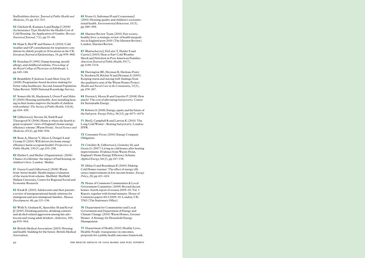Staffordshire district. *Journal of Public Health and Medicine*, 23, pp.312–313.

53 Gilchrist R, Kamara A and Rudge J (2009) An Insurance Type Model for the Health Cost of Cold Housing: An Application of Gamlss. *Revstat-Statistical Journal*, 7(1), pp.55–66.

54 Hajat S, Bird W and Haines A (2004) Cold weather and GP consultations for respiratory con ditions by elderly people in 16 locations in the UK. *European Journal of Epidemiology*, 19, pp.959–968.

55 Strachan D (1991) Damp housing, mould allergy, and childhood asthma. *Proceedings of the Royal College of Physicians in Edinburgh*, 1, pp.140–146.

58 Gilbertson I, Stevens M, Stiell B and Thorogood N (2006) Home is where the hearth is: grant recipients' views of England's home energy efficiency scheme (Warm Front). *Social Science and Medicine*, 63(4), pp.946–956.

56 Brambleby P, Jackson A and Muir Gray JA (2008) Programme-based decision-making for better value healthcare: Second Annual Population Value Review. NHS National Knowledge Service.

61 Green G and Gilbertson J (2008) Warm front: better health: Health impact evaluation of the warm front scheme. Sheffield: Sheffield Hallam University, Centre for Regional Social and Economic Research.

57 Somerville M, Mackenzie I, Owen P and Miles D (2000) Housing and health: does installing heat ing in their homes improve the health of children with asthma? *The Society of Public Health*, 114(6), pp.434–439.

59 Bone A, Murray V, Myers I, Dengel A and Crump D (2010) Will drivers for home energy efficiency harm occupant health? *Perspectives in Public Health*, 130(5), pp.233–238.

60 Harker L and Shelter (Organization) (2006) Chance of a lifetime: the impact of bad housing on children's lives. London : Shelter.

71 Bird I, Campbell R and Lawton K (2010) The Long Cold Winter – Beating fuel poverty. London: IPPR.

62 Kwak K (2003) Adolescents and their parents: a review of intergenerational family relations for immigrant and non-immigrant families. *Human Development*, 46, pp.115–136.

63 Wells S, Graham K, Speechley M and Koval JJ (2005) Drinking patterns, drinking contexts and alcohol-related aggression among late ado lescent and young adult drinkers. *Addiction*, 100, pp.933–944.

64 British Medical Association (2003) Housing and health: building for the future. British Medical Association.

65 Evans G, Saltzman H and Cooperman J (2001) Housing quality and children's socioemo tional health. *Environmental Behaviour*, 33(3), pp.389–399.

66 Marmot Review Team (2010) Fair society, healthy lives: a strategic review of health inequali ties in England post-2010 (The Marmot Review). London: Marmot Review.

67 Bhattacharya J, DeLeire T, Haider S and Currie J (2003) Heat or Eat? Cold Weather Shock and Nutrition in Poor American Families. *American Journal of Public Health*, 93(7), pp.1149–1154.

68 Harrington BE, Heyman B, Merleau-Ponty N, Stockton H, Ritchie N and Heyman A (2005) Keeping warm and staying well: findings from the qualitative arm of the Warm Homes Project. *Health and Social Care in the Community*, 13(3), pp.259–267.

69 Preston I, Moore R and Guertler P (2008) How much? The cost of alleviating fuel poverty. Centre for Sustainable Energy.

70 Roberts S (2008) Energy, equity and the future of the fuel poor. *Energy Policy*, 36(12), pp.4471–4474.

72 Consumer Focus (2010) Energy Company Obligation.

73 Critchley R, Gilbertson J, Grimsley M, and Green G (2007) Living in cold homes after heating improvements: Evidence from Warm-Front, England's Home Energy Efficiency Scheme. *Applied Energy*, 84(2), pp.147–158.

74 Milne G and Boardman B (2000) Making Cold Homes warmer: The effect of energy effi ciency improvements in low-income homes. *Energy Policy*, 28, pp.411–424.

75 House of Commons Communities & Local Government Committee (2009) Beyond decent homes: fourth report of session 2009–10: Vol. 1 Report, together with formal minutes. House of Commons papers 60-I 2009–10. London, UK: TSO (The Stationary Office).

76 Department for Communities and Local Government and Department of Energy and Climate Change (2010) Warm Homes, Greener Homes: A Strategy for Household Energy Management.

77 Department of Health (2010) Healthy Lives, Healthy People: transparency in outcomes, proposals for a public health outcomes framework.